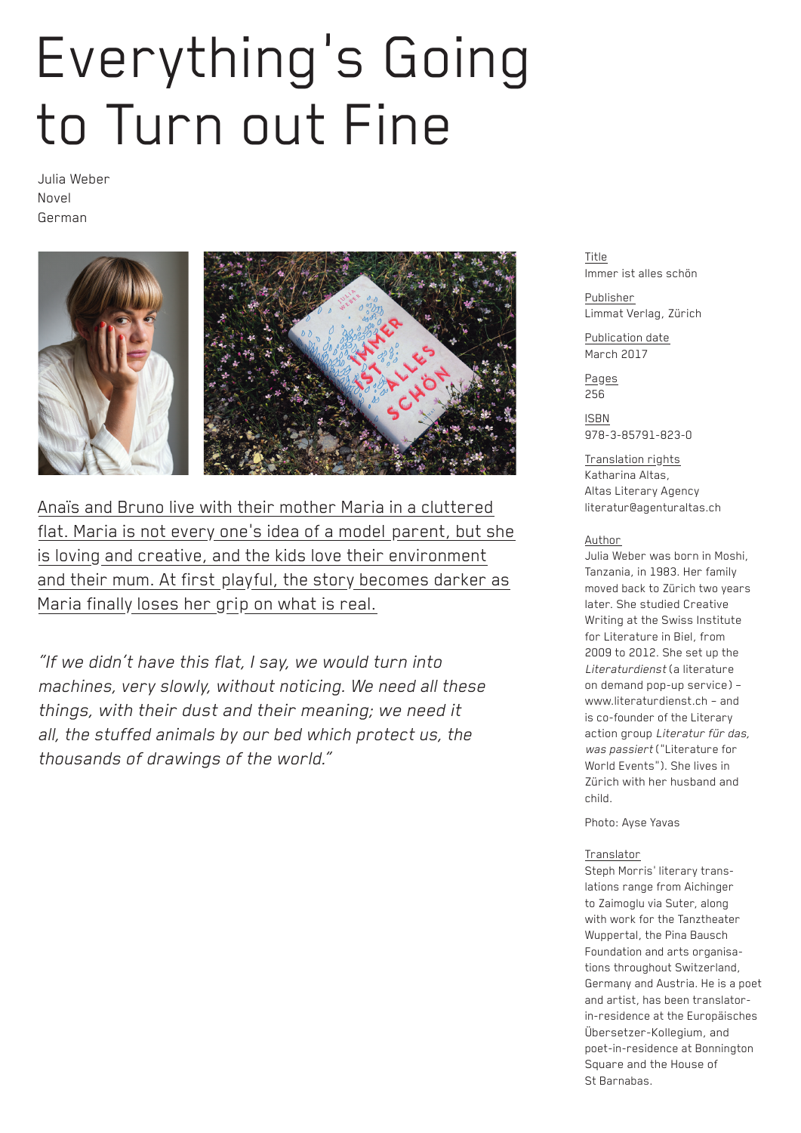## Everything's Going to Turn out Fine

Julia Weber Novel German



Anaïs and Bruno live with their mother Maria in a cluttered flat. Maria is not every one's idea of a model parent, but she is loving and creative, and the kids love their environment and their mum. At first playful, the story becomes darker as Maria finally loses her grip on what is real.

*"If we didn't have this flat, I say, we would turn into machines, very slowly, without noticing. We need all these things, with their dust and their meaning; we need it all, the stuffed animals by our bed which protect us, the thousands of drawings of the world."*

Title Immer ist alles schön

Publisher Limmat Verlag, Zürich

Publication date March 2017

Pages 256

ISBN 978-3-85791-823-0

Translation rights Katharina Altas, Altas Literary Agency literatur@agenturaltas.ch

## Author

Julia Weber was born in Moshi, Tanzania, in 1983. Her family moved back to Zürich two years later. She studied Creative Writing at the Swiss Institute for Literature in Biel, from 2009 to 2012. She set up the *Literaturdienst* (a literature on demand pop-up service) – www.literaturdienst.ch – and is co-founder of the Literary action group *Literatur für das, was passiert* ("Literature for World Events"). She lives in Zürich with her husband and child.

Photo: Ayse Yavas

## Translator

Steph Morris' literary translations range from Aichinger to Zaimoglu via Suter, along with work for the Tanztheater Wuppertal, the Pina Bausch Foundation and arts organisations throughout Switzerland, Germany and Austria. He is a poet and artist, has been translatorin-residence at the Europäisches Übersetzer-Kollegium, and poet-in-residence at Bonnington Square and the House of St Barnabas.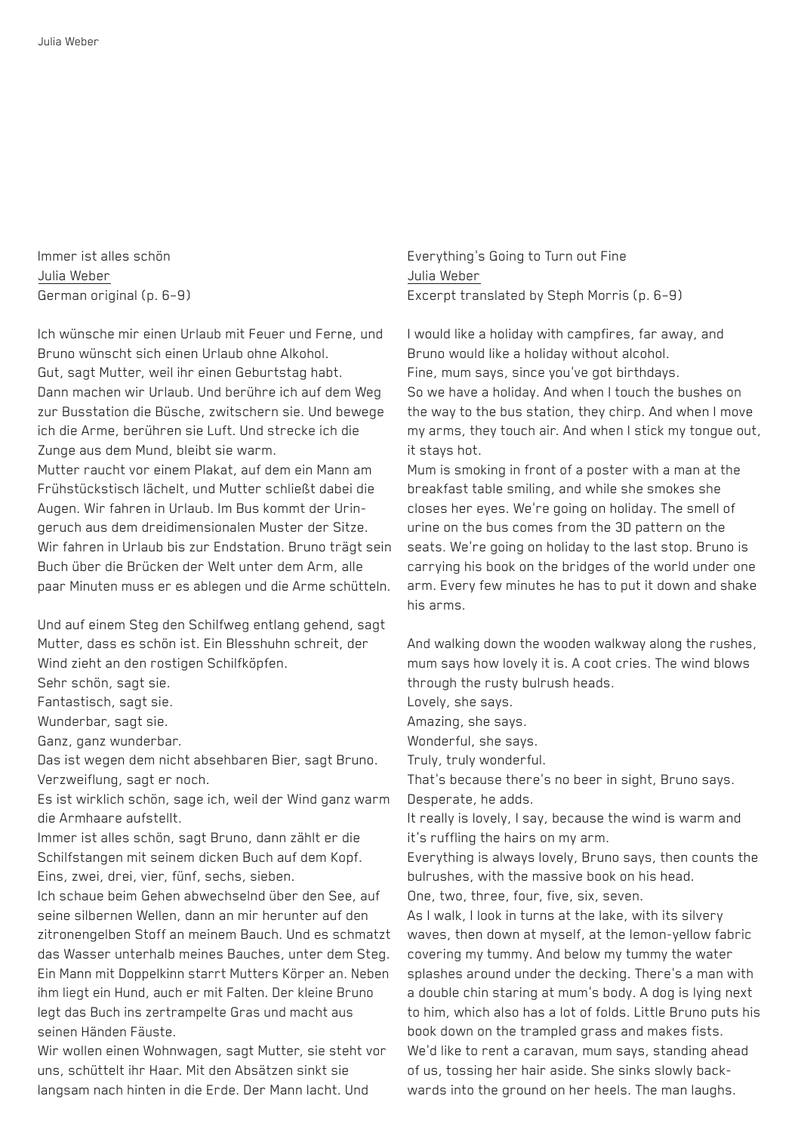Immer ist alles schön Julia Weber German original (p. 6–9)

Ich wünsche mir einen Urlaub mit Feuer und Ferne, und Bruno wünscht sich einen Urlaub ohne Alkohol. Gut, sagt Mutter, weil ihr einen Geburtstag habt. Dann machen wir Urlaub. Und berühre ich auf dem Weg zur Busstation die Büsche, zwitschern sie. Und bewege ich die Arme, berühren sie Luft. Und strecke ich die Zunge aus dem Mund, bleibt sie warm.

Mutter raucht vor einem Plakat, auf dem ein Mann am Frühstückstisch lächelt, und Mutter schließt dabei die Augen. Wir fahren in Urlaub. Im Bus kommt der Uringeruch aus dem dreidimensionalen Muster der Sitze. Wir fahren in Urlaub bis zur Endstation. Bruno trägt sein Buch über die Brücken der Welt unter dem Arm, alle paar Minuten muss er es ablegen und die Arme schütteln.

Und auf einem Steg den Schilfweg entlang gehend, sagt Mutter, dass es schön ist. Ein Blesshuhn schreit, der Wind zieht an den rostigen Schilfköpfen.

Sehr schön, sagt sie.

Fantastisch, sagt sie.

Wunderbar, sagt sie.

Ganz, ganz wunderbar.

Das ist wegen dem nicht absehbaren Bier, sagt Bruno. Verzweiflung, sagt er noch.

Es ist wirklich schön, sage ich, weil der Wind ganz warm die Armhaare aufstellt.

Immer ist alles schön, sagt Bruno, dann zählt er die Schilfstangen mit seinem dicken Buch auf dem Kopf. Eins, zwei, drei, vier, fünf, sechs, sieben.

Ich schaue beim Gehen abwechselnd über den See, auf seine silbernen Wellen, dann an mir herunter auf den zitronengelben Stoff an meinem Bauch. Und es schmatzt das Wasser unterhalb meines Bauches, unter dem Steg. Ein Mann mit Doppelkinn starrt Mutters Körper an. Neben ihm liegt ein Hund, auch er mit Falten. Der kleine Bruno legt das Buch ins zertrampelte Gras und macht aus seinen Händen Fäuste.

Wir wollen einen Wohnwagen, sagt Mutter, sie steht vor uns, schüttelt ihr Haar. Mit den Absätzen sinkt sie langsam nach hinten in die Erde. Der Mann lacht. Und

Everything's Going to Turn out Fine Julia Weber Excerpt translated by Steph Morris (p. 6–9)

I would like a holiday with campfires, far away, and Bruno would like a holiday without alcohol. Fine, mum says, since you've got birthdays. So we have a holiday. And when I touch the bushes on the way to the bus station, they chirp. And when I move my arms, they touch air. And when I stick my tongue out, it stays hot.

Mum is smoking in front of a poster with a man at the breakfast table smiling, and while she smokes she closes her eyes. We're going on holiday. The smell of urine on the bus comes from the 3D pattern on the seats. We're going on holiday to the last stop. Bruno is carrying his book on the bridges of the world under one arm. Every few minutes he has to put it down and shake his arms.

And walking down the wooden walkway along the rushes, mum says how lovely it is. A coot cries. The wind blows through the rusty bulrush heads.

Lovely, she says.

Amazing, she says.

Wonderful, she says.

Truly, truly wonderful.

That's because there's no beer in sight, Bruno says. Desperate, he adds.

It really is lovely, I say, because the wind is warm and it's ruffling the hairs on my arm.

Everything is always lovely, Bruno says, then counts the bulrushes, with the massive book on his head.

One, two, three, four, five, six, seven.

As I walk, I look in turns at the lake, with its silvery waves, then down at myself, at the lemon-yellow fabric covering my tummy. And below my tummy the water splashes around under the decking. There's a man with a double chin staring at mum's body. A dog is lying next to him, which also has a lot of folds. Little Bruno puts his book down on the trampled grass and makes fists. We'd like to rent a caravan, mum says, standing ahead of us, tossing her hair aside. She sinks slowly backwards into the ground on her heels. The man laughs.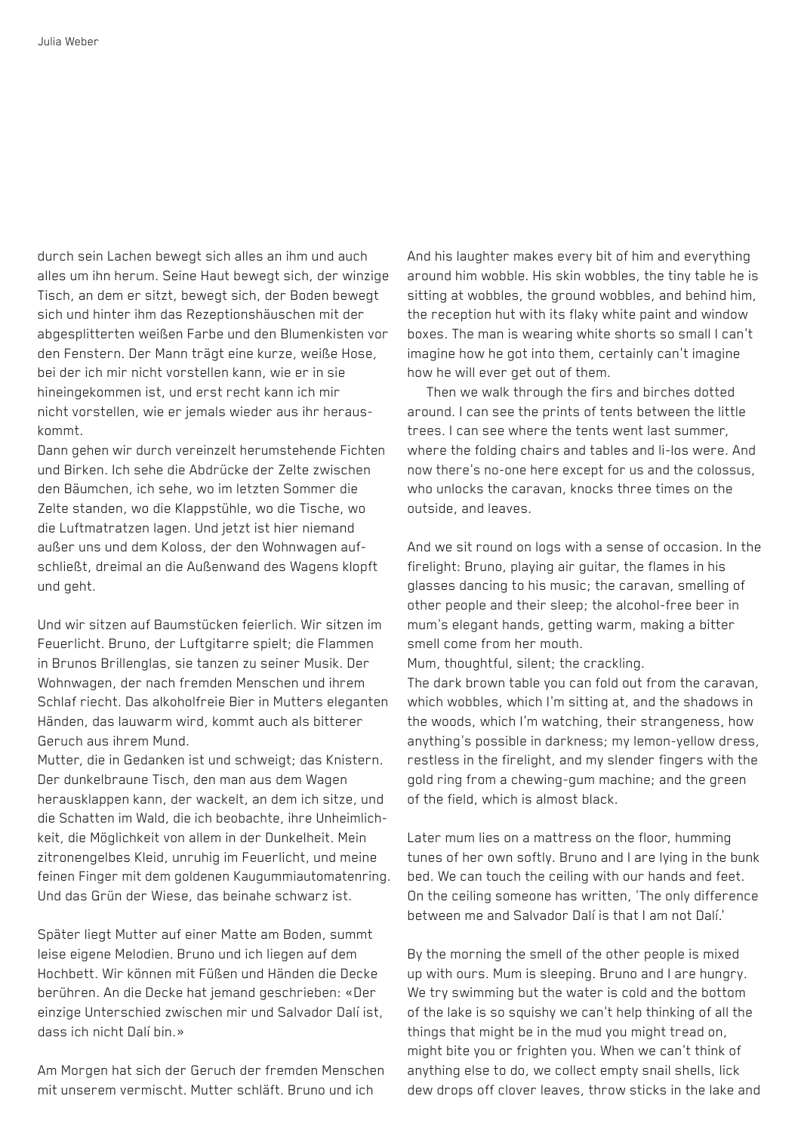durch sein Lachen bewegt sich alles an ihm und auch alles um ihn herum. Seine Haut bewegt sich, der winzige Tisch, an dem er sitzt, bewegt sich, der Boden bewegt sich und hinter ihm das Rezeptionshäuschen mit der abgesplitterten weißen Farbe und den Blumenkisten vor den Fenstern. Der Mann trägt eine kurze, weiße Hose, bei der ich mir nicht vorstellen kann, wie er in sie hineingekommen ist, und erst recht kann ich mir nicht vorstellen, wie er jemals wieder aus ihr herauskommt.

Dann gehen wir durch vereinzelt herumstehende Fichten und Birken. Ich sehe die Abdrücke der Zelte zwischen den Bäumchen, ich sehe, wo im letzten Sommer die Zelte standen, wo die Klappstühle, wo die Tische, wo die Luftmatratzen lagen. Und jetzt ist hier niemand außer uns und dem Koloss, der den Wohnwagen aufschließt, dreimal an die Außenwand des Wagens klopft und geht.

Und wir sitzen auf Baumstücken feierlich. Wir sitzen im Feuerlicht. Bruno, der Luftgitarre spielt; die Flammen in Brunos Brillenglas, sie tanzen zu seiner Musik. Der Wohnwagen, der nach fremden Menschen und ihrem Schlaf riecht. Das alkoholfreie Bier in Mutters eleganten Händen, das lauwarm wird, kommt auch als bitterer Geruch aus ihrem Mund.

Mutter, die in Gedanken ist und schweigt; das Knistern. Der dunkelbraune Tisch, den man aus dem Wagen herausklappen kann, der wackelt, an dem ich sitze, und die Schatten im Wald, die ich beobachte, ihre Unheimlichkeit, die Möglichkeit von allem in der Dunkelheit. Mein zitronengelbes Kleid, unruhig im Feuerlicht, und meine feinen Finger mit dem goldenen Kaugummiautomatenring. Und das Grün der Wiese, das beinahe schwarz ist.

Später liegt Mutter auf einer Matte am Boden, summt leise eigene Melodien. Bruno und ich liegen auf dem Hochbett. Wir können mit Füßen und Händen die Decke berühren. An die Decke hat jemand geschrieben: «Der einzige Unterschied zwischen mir und Salvador Dalí ist, dass ich nicht Dalí bin.»

Am Morgen hat sich der Geruch der fremden Menschen mit unserem vermischt. Mutter schläft. Bruno und ich

And his laughter makes every bit of him and everything around him wobble. His skin wobbles, the tiny table he is sitting at wobbles, the ground wobbles, and behind him, the reception hut with its flaky white paint and window boxes. The man is wearing white shorts so small I can't imagine how he got into them, certainly can't imagine how he will ever get out of them.

Then we walk through the firs and birches dotted around. I can see the prints of tents between the little trees. I can see where the tents went last summer, where the folding chairs and tables and li-los were. And now there's no-one here except for us and the colossus, who unlocks the caravan, knocks three times on the outside, and leaves.

And we sit round on logs with a sense of occasion. In the firelight: Bruno, playing air guitar, the flames in his glasses dancing to his music; the caravan, smelling of other people and their sleep; the alcohol-free beer in mum's elegant hands, getting warm, making a bitter smell come from her mouth.

Mum, thoughtful, silent; the crackling.

The dark brown table you can fold out from the caravan, which wobbles, which I'm sitting at, and the shadows in the woods, which I'm watching, their strangeness, how anything's possible in darkness; my lemon-yellow dress, restless in the firelight, and my slender fingers with the gold ring from a chewing-gum machine; and the green of the field, which is almost black.

Later mum lies on a mattress on the floor, humming tunes of her own softly. Bruno and I are lying in the bunk bed. We can touch the ceiling with our hands and feet. On the ceiling someone has written, 'The only difference between me and Salvador Dalí is that I am not Dalí.'

By the morning the smell of the other people is mixed up with ours. Mum is sleeping. Bruno and I are hungry. We try swimming but the water is cold and the bottom of the lake is so squishy we can't help thinking of all the things that might be in the mud you might tread on, might bite you or frighten you. When we can't think of anything else to do, we collect empty snail shells, lick dew drops off clover leaves, throw sticks in the lake and